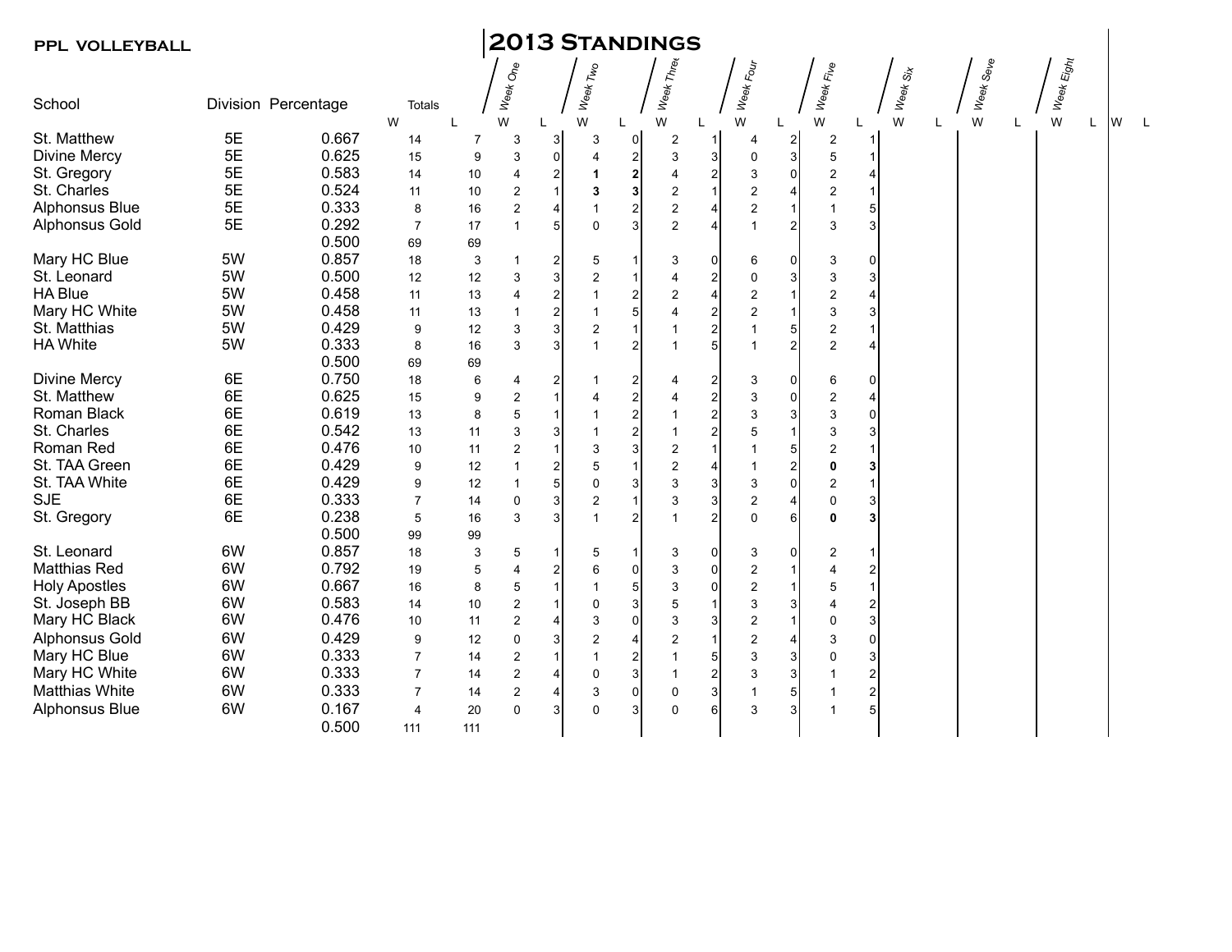## **PPL VOLLEYBALL 2013 Standings**

| School                | Division Percentage |       | <b>Totals</b>  |                | Week One                |                         | Week Two                |                 | Week Three              |                         | Week Four               |                | Week Fi <sub>ve</sub>     |                           | Week Six |   | Week Seve | Week Eight |   |  |
|-----------------------|---------------------|-------|----------------|----------------|-------------------------|-------------------------|-------------------------|-----------------|-------------------------|-------------------------|-------------------------|----------------|---------------------------|---------------------------|----------|---|-----------|------------|---|--|
|                       |                     |       | W              |                | W                       |                         | W                       |                 | W                       |                         | W                       | L              | W                         |                           | W        | L | W         | W          | W |  |
| St. Matthew           | 5E                  | 0.667 | 14             | $\overline{7}$ | 3                       | 3                       | 3                       | $\overline{0}$  | 2                       |                         | 4                       | $\mathbf{2}$   | 2                         |                           |          |   |           |            |   |  |
| <b>Divine Mercy</b>   | 5E                  | 0.625 | 15             | 9              | 3                       | 0                       | $\overline{4}$          | $\mathbf{2}$    | 3                       | 3                       | 0                       | $\mathbf{3}$   | 5                         |                           |          |   |           |            |   |  |
| St. Gregory           | 5E                  | 0.583 | 14             | 10             | 4                       | $\mathbf{2}$            | 1                       | $\mathbf{2}$    | $\overline{4}$          | $\overline{\mathbf{c}}$ | 3                       | 0              | $\overline{\mathbf{c}}$   | 4                         |          |   |           |            |   |  |
| St. Charles           | 5E                  | 0.524 | 11             | 10             | $\overline{\mathbf{c}}$ | 1                       | 3                       | 3               | $\mathbf 2$             | 1                       | 2                       | 4              | $\overline{\mathbf{c}}$   |                           |          |   |           |            |   |  |
| Alphonsus Blue        | 5E                  | 0.333 | 8              | 16             | $\overline{\mathbf{c}}$ | $\overline{4}$          | $\mathbf{1}$            | $\mathbf{2}$    | $\overline{c}$          | 4                       | $\overline{c}$          |                | $\overline{1}$            | 5                         |          |   |           |            |   |  |
| <b>Alphonsus Gold</b> | 5E                  | 0.292 | $\overline{7}$ | 17             | $\mathbf{1}$            | 5                       | $\mathbf 0$             | $\overline{3}$  | $\overline{c}$          | $\overline{4}$          | $\overline{1}$          | $\overline{2}$ | $\ensuremath{\mathsf{3}}$ | $\ensuremath{\mathsf{3}}$ |          |   |           |            |   |  |
|                       |                     | 0.500 | 69             | 69             |                         |                         |                         |                 |                         |                         |                         |                |                           |                           |          |   |           |            |   |  |
| Mary HC Blue          | 5W                  | 0.857 | 18             | 3              | 1                       | $\mathbf{2}$            | 5                       | 1               | 3                       | 0                       | 6                       | $\overline{0}$ | 3                         | 0                         |          |   |           |            |   |  |
| St. Leonard           | 5W                  | 0.500 | 12             | 12             | 3                       | $\mathbf{3}$            | $\overline{c}$          | 1               | 4                       | $\boldsymbol{2}$        | 0                       | 3              | $\mathfrak{S}$            | 3                         |          |   |           |            |   |  |
| <b>HA Blue</b>        | 5W                  | 0.458 | 11             | 13             | 4                       | $\overline{a}$          | $\overline{1}$          | $\mathbf{2}$    | 2                       | 4                       | 2                       |                | $\boldsymbol{2}$          | 4                         |          |   |           |            |   |  |
| Mary HC White         | 5W                  | 0.458 | 11             | 13             | $\mathbf{1}$            | $\overline{a}$          | $\overline{1}$          |                 | $\overline{4}$          | $\overline{\mathbf{c}}$ | $\overline{c}$          |                | $\mathsf 3$               | 3                         |          |   |           |            |   |  |
| St. Matthias          | 5W                  | 0.429 | 9              | 12             | 3                       | $\overline{3}$          | $\overline{\mathbf{c}}$ |                 |                         | $\overline{\mathbf{c}}$ | $\overline{1}$          | 5              | $\boldsymbol{2}$          |                           |          |   |           |            |   |  |
| <b>HA White</b>       | 5W                  | 0.333 | 8              | 16             | 3                       | $\overline{3}$          | $\overline{1}$          | $\overline{2}$  |                         | 5                       | $\overline{1}$          | $\mathsf{2}$   | $\mathbf 2$               | 4                         |          |   |           |            |   |  |
|                       |                     | 0.500 | 69             | 69             |                         |                         |                         |                 |                         |                         |                         |                |                           |                           |          |   |           |            |   |  |
| Divine Mercy          | 6E                  | 0.750 | 18             | 6              | 4                       | $\mathbf{2}$            |                         | $\mathbf{2}$    | 4                       | 2                       | 3                       | $\Omega$       | 6                         | 0                         |          |   |           |            |   |  |
| St. Matthew           | 6E                  | 0.625 | 15             | 9              | 2                       | 1                       | 4                       | $\mathbf{2}$    | 4                       | $\overline{\mathbf{c}}$ | 3                       | 01             | $\boldsymbol{2}$          | 4                         |          |   |           |            |   |  |
| Roman Black           | 6E                  | 0.619 | 13             | 8              | 5                       | 1                       | 1                       | $\mathbf{2}$    | 1                       | $\overline{\mathbf{c}}$ | 3                       | 3              | $\mathsf 3$               | 0                         |          |   |           |            |   |  |
| St. Charles           | 6E                  | 0.542 | 13             | 11             | 3                       | 3                       | $\mathbf{1}$            | $\mathbf{2}$    |                         | $\boldsymbol{2}$        | 5                       |                | $\mathsf 3$               | 3                         |          |   |           |            |   |  |
| Roman Red             | 6E                  | 0.476 | 10             | 11             | $\overline{\mathbf{c}}$ | 1                       | 3                       | 3               | 2                       |                         | 1                       | 5              | $\boldsymbol{2}$          |                           |          |   |           |            |   |  |
| St. TAA Green         | 6E                  | 0.429 | 9              | 12             | $\mathbf{1}$            | 2                       | 5                       | 1               | $\overline{c}$          | 4                       | $\overline{1}$          | $\mathbf{2}$   | $\pmb{0}$                 | 3                         |          |   |           |            |   |  |
| St. TAA White         | 6E                  | 0.429 | 9              | 12             | $\mathbf{1}$            | 5                       | $\pmb{0}$               | 3               | 3                       | 3                       | 3                       | $\overline{0}$ | $\boldsymbol{2}$          |                           |          |   |           |            |   |  |
| <b>SJE</b>            | 6E                  | 0.333 | $\overline{7}$ | 14             | 0                       | $\mathbf{3}$            | $\overline{c}$          |                 | 3                       | 3                       | $\overline{\mathbf{c}}$ | 4              | $\mathbf 0$               | $\ensuremath{\mathsf{3}}$ |          |   |           |            |   |  |
| St. Gregory           | 6E                  | 0.238 | 5              | 16             | 3                       | $\overline{3}$          | $\mathbf{1}$            | $\overline{2}$  |                         | $\overline{2}$          | $\Omega$                | 6 <sup>1</sup> | 0                         | $\mathbf{3}$              |          |   |           |            |   |  |
|                       |                     | 0.500 | 99             | 99             |                         |                         |                         |                 |                         |                         |                         |                |                           |                           |          |   |           |            |   |  |
| St. Leonard           | 6W                  | 0.857 | 18             | 3              | 5                       |                         | 5                       | 1               | 3                       | 0                       | 3                       | $\overline{0}$ | 2                         |                           |          |   |           |            |   |  |
| Matthias Red          | 6W                  | 0.792 | 19             | 5              | 4                       | $\overline{\mathbf{c}}$ | 6                       | $\overline{0}$  | 3                       | 0                       | $\overline{2}$          |                | 4                         | $\overline{c}$            |          |   |           |            |   |  |
| <b>Holy Apostles</b>  | 6W                  | 0.667 | 16             | 8              | 5                       | 1                       | $\overline{1}$          | 5 <sub>l</sub>  | 3                       | 0                       | $\overline{c}$          |                | 5                         |                           |          |   |           |            |   |  |
| St. Joseph BB         | 6W                  | 0.583 | 14             | 10             | $\overline{\mathbf{c}}$ | 1                       | $\mathbf 0$             | 3               | 5                       | 1                       | 3                       | 3              | 4                         | $\overline{\mathbf{c}}$   |          |   |           |            |   |  |
| Mary HC Black         | 6W                  | 0.476 | 10             | 11             | $\boldsymbol{2}$        | 4                       | 3                       | $\overline{0}$  | 3                       | 3                       | $\overline{c}$          |                | $\pmb{0}$                 | $\ensuremath{\mathsf{3}}$ |          |   |           |            |   |  |
| <b>Alphonsus Gold</b> | 6W                  | 0.429 | 9              | 12             | 0                       | 3                       | $\overline{\mathbf{c}}$ | $\vert 4 \vert$ | $\overline{\mathbf{c}}$ |                         | $\overline{2}$          |                | 3                         | $\pmb{0}$                 |          |   |           |            |   |  |
| Mary HC Blue          | 6W                  | 0.333 | $\overline{7}$ | 14             | $\sqrt{2}$              | 1                       | $\mathbf{1}$            | $\mathbf{2}$    |                         | $\mathbf 5$             | 3                       | 3              | $\pmb{0}$                 | $\ensuremath{\mathsf{3}}$ |          |   |           |            |   |  |
| Mary HC White         | 6W                  | 0.333 | $\overline{7}$ | 14             | $\overline{\mathbf{c}}$ | 4                       | $\mathbf 0$             | 3               |                         | $\overline{\mathbf{c}}$ | 3                       | 3              | 1                         | $\boldsymbol{2}$          |          |   |           |            |   |  |
| Matthias White        | 6W                  | 0.333 | $\overline{7}$ | 14             | 2                       | 4                       | 3                       | $\overline{0}$  | 0                       | 3                       | 1                       | 5              | 1                         | $\overline{\mathbf{c}}$   |          |   |           |            |   |  |
| <b>Alphonsus Blue</b> | 6W                  | 0.167 | $\overline{4}$ | 20             | 0                       | 3 <sup>1</sup>          | $\mathbf 0$             | 3               | 0                       | $6 \,$                  | 3                       | 3              | $\mathbf{1}$              | 5                         |          |   |           |            |   |  |
|                       |                     | 0.500 | 111            | 111            |                         |                         |                         |                 |                         |                         |                         |                |                           |                           |          |   |           |            |   |  |